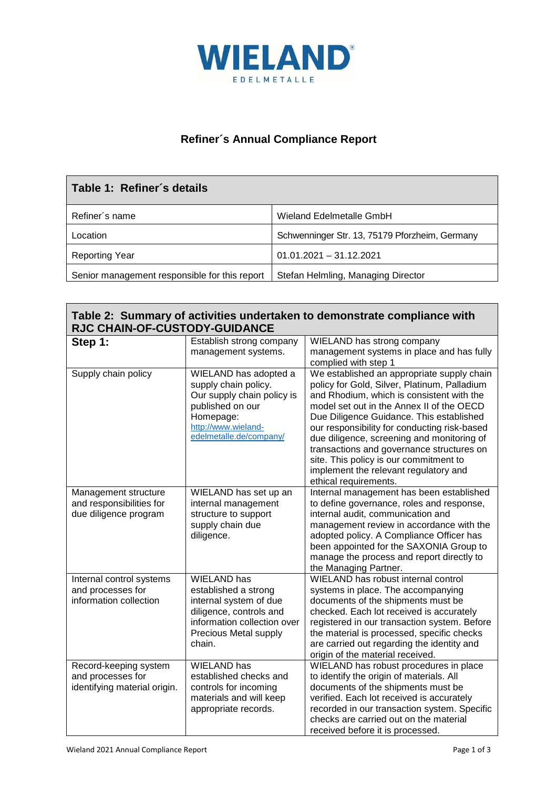

## **Refiner´s Annual Compliance Report**

| Table 1: Refiner's details                    |                                                |  |  |
|-----------------------------------------------|------------------------------------------------|--|--|
| Refiner's name                                | Wieland Edelmetalle GmbH                       |  |  |
| Location                                      | Schwenninger Str. 13, 75179 Pforzheim, Germany |  |  |
| <b>Reporting Year</b>                         | $01.01.2021 - 31.12.2021$                      |  |  |
| Senior management responsible for this report | Stefan Helmling, Managing Director             |  |  |

| Table 2: Summary of activities undertaken to demonstrate compliance with |
|--------------------------------------------------------------------------|
| <b>RJC CHAIN-OF-CUSTODY-GUIDANCE</b>                                     |

| Step 1:                                                                    | Establish strong company<br>management systems.                                                                                                                   | WIELAND has strong company<br>management systems in place and has fully<br>complied with step 1                                                                                                                                                                                                                                                                                                                                                                                         |
|----------------------------------------------------------------------------|-------------------------------------------------------------------------------------------------------------------------------------------------------------------|-----------------------------------------------------------------------------------------------------------------------------------------------------------------------------------------------------------------------------------------------------------------------------------------------------------------------------------------------------------------------------------------------------------------------------------------------------------------------------------------|
| Supply chain policy                                                        | WIELAND has adopted a<br>supply chain policy.<br>Our supply chain policy is<br>published on our<br>Homepage:<br>http://www.wieland-<br>edelmetalle.de/company/    | We established an appropriate supply chain<br>policy for Gold, Silver, Platinum, Palladium<br>and Rhodium, which is consistent with the<br>model set out in the Annex II of the OECD<br>Due Diligence Guidance. This established<br>our responsibility for conducting risk-based<br>due diligence, screening and monitoring of<br>transactions and governance structures on<br>site. This policy is our commitment to<br>implement the relevant regulatory and<br>ethical requirements. |
| Management structure<br>and responsibilities for<br>due diligence program  | WIELAND has set up an<br>internal management<br>structure to support<br>supply chain due<br>diligence.                                                            | Internal management has been established<br>to define governance, roles and response,<br>internal audit, communication and<br>management review in accordance with the<br>adopted policy. A Compliance Officer has<br>been appointed for the SAXONIA Group to<br>manage the process and report directly to<br>the Managing Partner.                                                                                                                                                     |
| Internal control systems<br>and processes for<br>information collection    | <b>WIELAND</b> has<br>established a strong<br>internal system of due<br>diligence, controls and<br>information collection over<br>Precious Metal supply<br>chain. | WIELAND has robust internal control<br>systems in place. The accompanying<br>documents of the shipments must be<br>checked. Each lot received is accurately<br>registered in our transaction system. Before<br>the material is processed, specific checks<br>are carried out regarding the identity and<br>origin of the material received.                                                                                                                                             |
| Record-keeping system<br>and processes for<br>identifying material origin. | <b>WIELAND</b> has<br>established checks and<br>controls for incoming<br>materials and will keep<br>appropriate records.                                          | WIELAND has robust procedures in place<br>to identify the origin of materials. All<br>documents of the shipments must be<br>verified. Each lot received is accurately<br>recorded in our transaction system. Specific<br>checks are carried out on the material<br>received before it is processed.                                                                                                                                                                                     |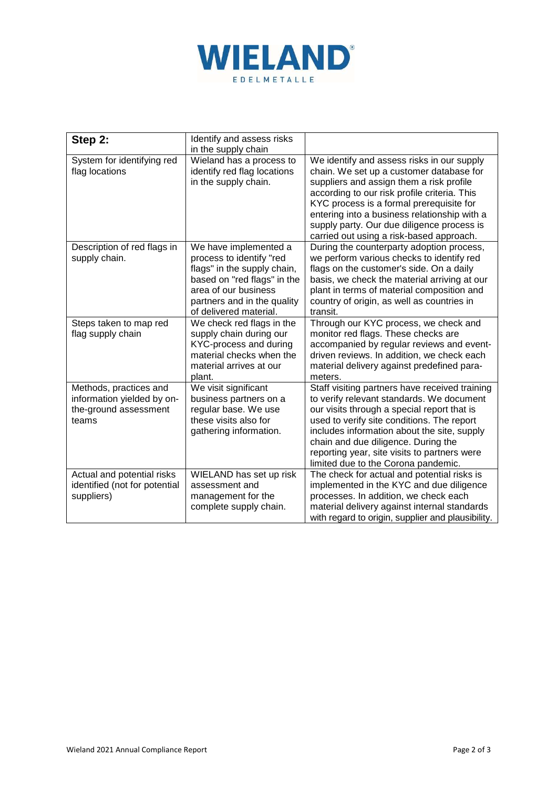

| Step 2:                                                                                | Identify and assess risks<br>in the supply chain                                                                                                                                                 |                                                                                                                                                                                                                                                                                                                                                                          |
|----------------------------------------------------------------------------------------|--------------------------------------------------------------------------------------------------------------------------------------------------------------------------------------------------|--------------------------------------------------------------------------------------------------------------------------------------------------------------------------------------------------------------------------------------------------------------------------------------------------------------------------------------------------------------------------|
| System for identifying red<br>flag locations                                           | Wieland has a process to<br>identify red flag locations<br>in the supply chain.                                                                                                                  | We identify and assess risks in our supply<br>chain. We set up a customer database for<br>suppliers and assign them a risk profile<br>according to our risk profile criteria. This<br>KYC process is a formal prerequisite for<br>entering into a business relationship with a<br>supply party. Our due diligence process is<br>carried out using a risk-based approach. |
| Description of red flags in<br>supply chain.                                           | We have implemented a<br>process to identify "red<br>flags" in the supply chain,<br>based on "red flags" in the<br>area of our business<br>partners and in the quality<br>of delivered material. | During the counterparty adoption process,<br>we perform various checks to identify red<br>flags on the customer's side. On a daily<br>basis, we check the material arriving at our<br>plant in terms of material composition and<br>country of origin, as well as countries in<br>transit.                                                                               |
| Steps taken to map red<br>flag supply chain                                            | We check red flags in the<br>supply chain during our<br>KYC-process and during<br>material checks when the<br>material arrives at our<br>plant.                                                  | Through our KYC process, we check and<br>monitor red flags. These checks are<br>accompanied by regular reviews and event-<br>driven reviews. In addition, we check each<br>material delivery against predefined para-<br>meters.                                                                                                                                         |
| Methods, practices and<br>information yielded by on-<br>the-ground assessment<br>teams | We visit significant<br>business partners on a<br>regular base. We use<br>these visits also for<br>gathering information.                                                                        | Staff visiting partners have received training<br>to verify relevant standards. We document<br>our visits through a special report that is<br>used to verify site conditions. The report<br>includes information about the site, supply<br>chain and due diligence. During the<br>reporting year, site visits to partners were<br>limited due to the Corona pandemic.    |
| Actual and potential risks<br>identified (not for potential<br>suppliers)              | WIELAND has set up risk<br>assessment and<br>management for the<br>complete supply chain.                                                                                                        | The check for actual and potential risks is<br>implemented in the KYC and due diligence<br>processes. In addition, we check each<br>material delivery against internal standards<br>with regard to origin, supplier and plausibility.                                                                                                                                    |